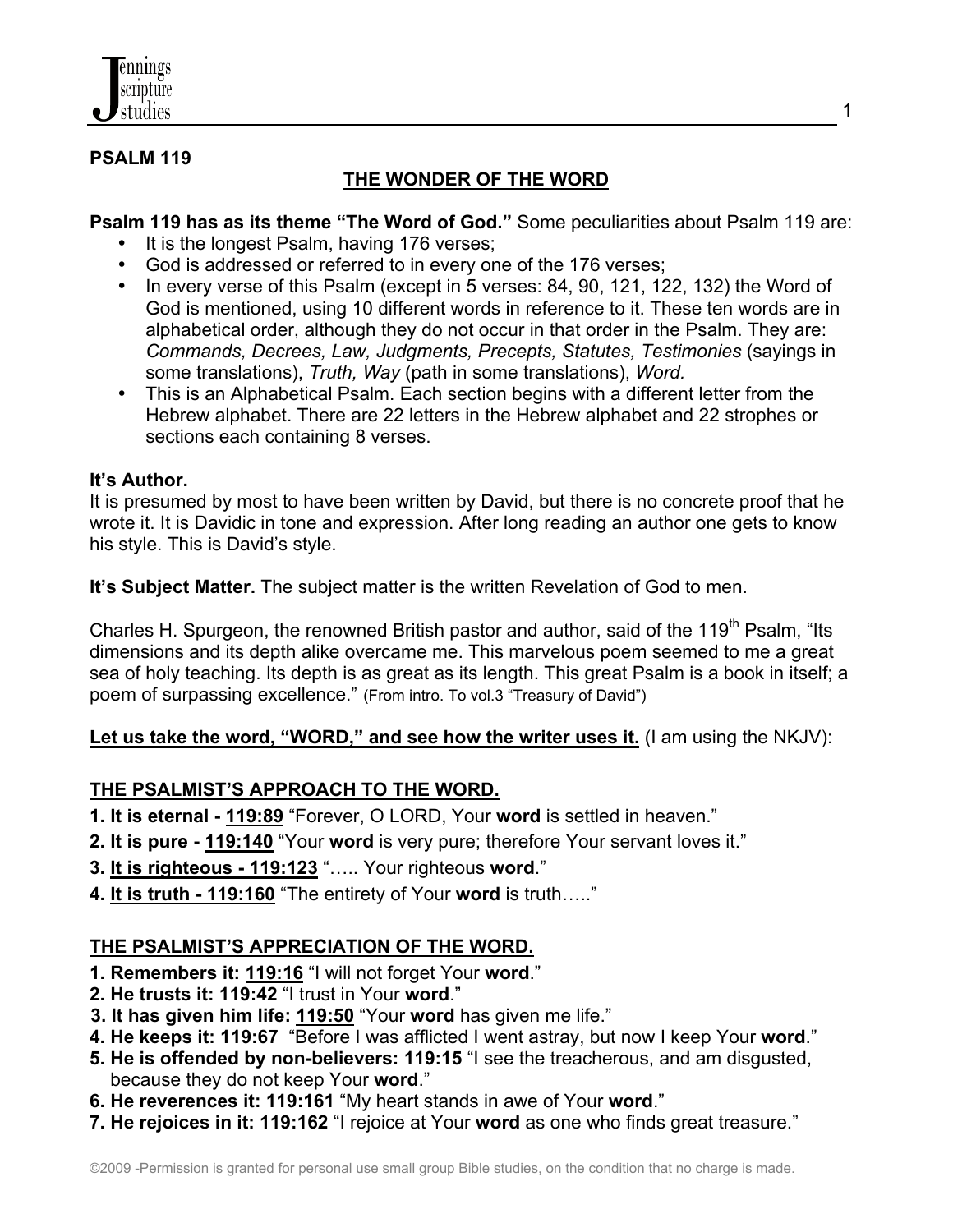

#### **PSALM 119**

# **THE WONDER OF THE WORD**

**Psalm 119 has as its theme "The Word of God."** Some peculiarities about Psalm 119 are:

- It is the longest Psalm, having 176 verses;
- God is addressed or referred to in every one of the 176 verses;
- In every verse of this Psalm (except in 5 verses: 84, 90, 121, 122, 132) the Word of God is mentioned, using 10 different words in reference to it. These ten words are in alphabetical order, although they do not occur in that order in the Psalm. They are: *Commands, Decrees, Law, Judgments, Precepts, Statutes, Testimonies* (sayings in some translations), *Truth, Way* (path in some translations), *Word.*
- This is an Alphabetical Psalm. Each section begins with a different letter from the Hebrew alphabet. There are 22 letters in the Hebrew alphabet and 22 strophes or sections each containing 8 verses.

#### **It's Author.**

It is presumed by most to have been written by David, but there is no concrete proof that he wrote it. It is Davidic in tone and expression. After long reading an author one gets to know his style. This is David's style.

**It's Subject Matter.** The subject matter is the written Revelation of God to men.

Charles H. Spurgeon, the renowned British pastor and author, said of the 119<sup>th</sup> Psalm, "Its dimensions and its depth alike overcame me. This marvelous poem seemed to me a great sea of holy teaching. Its depth is as great as its length. This great Psalm is a book in itself; a poem of surpassing excellence." (From intro. To vol.3 "Treasury of David")

Let us take the word, "WORD," and see how the writer uses it. (I am using the NKJV):

### **THE PSALMIST'S APPROACH TO THE WORD.**

- **1. It is eternal - 119:89** "Forever, O LORD, Your **word** is settled in heaven."
- **2. It is pure - 119:140** "Your **word** is very pure; therefore Your servant loves it."
- **3. It is righteous 119:123** "….. Your righteous **word**."
- **4. It is truth 119:160** "The entirety of Your **word** is truth….."

### **THE PSALMIST'S APPRECIATION OF THE WORD.**

- **1. Remembers it: 119:16** "I will not forget Your **word**."
- **2. He trusts it: 119:42** "I trust in Your **word**."
- **3. It has given him life: 119:50** "Your **word** has given me life."
- **4. He keeps it: 119:67** "Before I was afflicted I went astray, but now I keep Your **word**."
- **5. He is offended by non-believers: 119:15** "I see the treacherous, and am disgusted, because they do not keep Your **word**."
- **6. He reverences it: 119:161** "My heart stands in awe of Your **word**."
- **7. He rejoices in it: 119:162** "I rejoice at Your **word** as one who finds great treasure."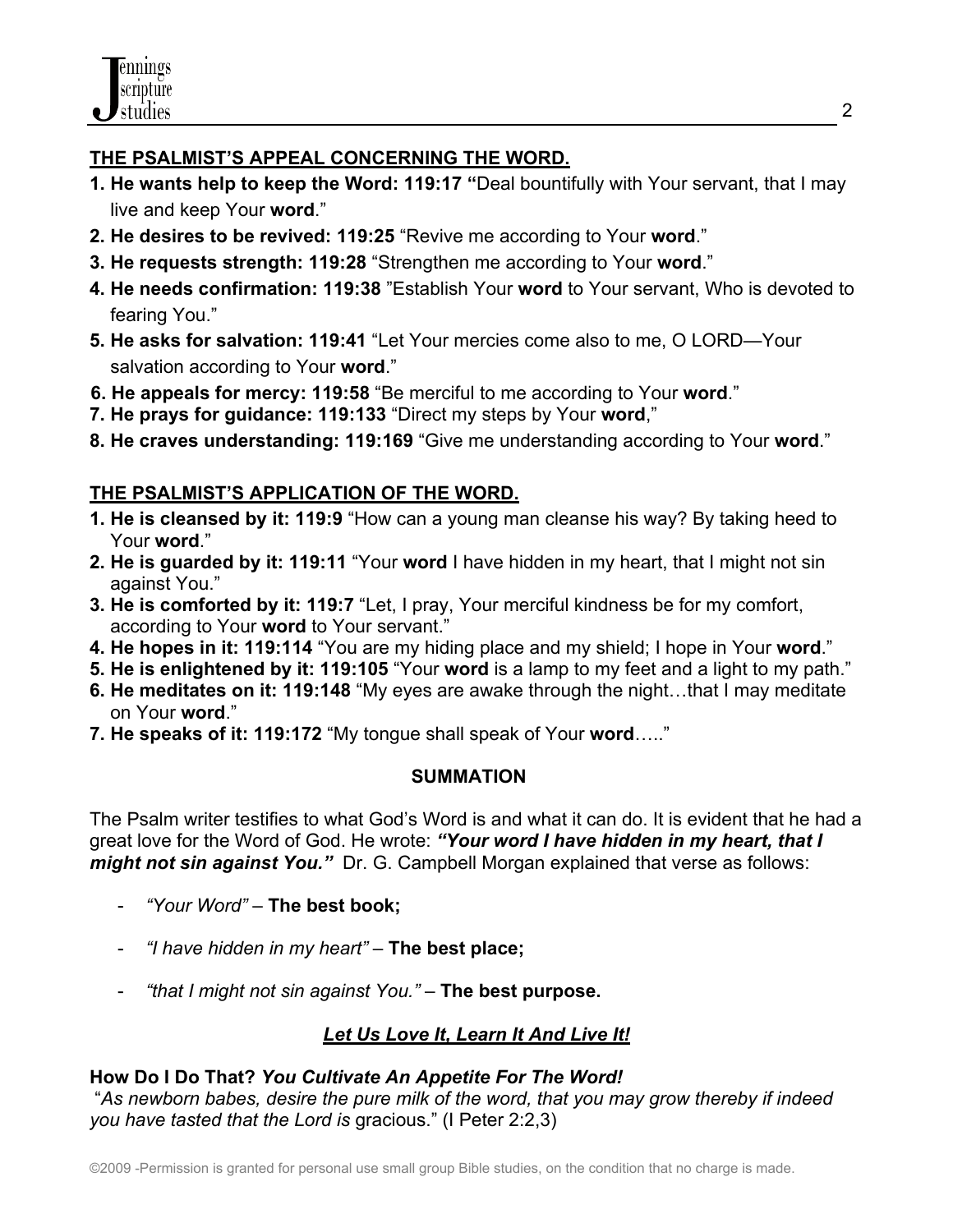## **THE PSALMIST'S APPEAL CONCERNING THE WORD.**

- **1. He wants help to keep the Word: 119:17 "**Deal bountifully with Your servant, that I may live and keep Your **word**."
- **2. He desires to be revived: 119:25** "Revive me according to Your **word**."
- **3. He requests strength: 119:28** "Strengthen me according to Your **word**."
- **4. He needs confirmation: 119:38** "Establish Your **word** to Your servant, Who is devoted to fearing You."
- **5. He asks for salvation: 119:41** "Let Your mercies come also to me, O LORD—Your salvation according to Your **word**."
- **6. He appeals for mercy: 119:58** "Be merciful to me according to Your **word**."
- **7. He prays for guidance: 119:133** "Direct my steps by Your **word**,"
- **8. He craves understanding: 119:169** "Give me understanding according to Your **word**."

## **THE PSALMIST'S APPLICATION OF THE WORD.**

- **1. He is cleansed by it: 119:9** "How can a young man cleanse his way? By taking heed to Your **word**."
- **2. He is guarded by it: 119:11** "Your **word** I have hidden in my heart, that I might not sin against You."
- **3. He is comforted by it: 119:7** "Let, I pray, Your merciful kindness be for my comfort, according to Your **word** to Your servant."
- **4. He hopes in it: 119:114** "You are my hiding place and my shield; I hope in Your **word**."
- **5. He is enlightened by it: 119:105** "Your **word** is a lamp to my feet and a light to my path."
- **6. He meditates on it: 119:148** "My eyes are awake through the night…that I may meditate on Your **word**."
- **7. He speaks of it: 119:172** "My tongue shall speak of Your **word**….."

### **SUMMATION**

The Psalm writer testifies to what God's Word is and what it can do. It is evident that he had a great love for the Word of God. He wrote: *"Your word I have hidden in my heart, that I might not sin against You."* Dr. G. Campbell Morgan explained that verse as follows:

- *"Your Word"* **The best book;**
- *"I have hidden in my heart"* **The best place;**
- *"that I might not sin against You."* **The best purpose.**

# *Let Us Love It, Learn It And Live It!*

## **How Do I Do That?** *You Cultivate An Appetite For The Word!*

 "*As newborn babes, desire the pure milk of the word, that you may grow thereby if indeed you have tasted that the Lord is* gracious." (I Peter 2:2,3)